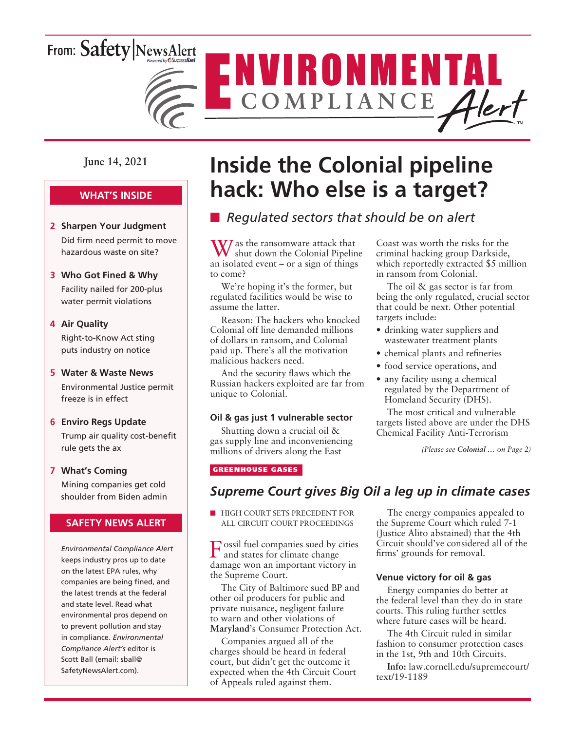# From: Safety NewsAlert



ENVIRONMENTAL

### **June 14, 2021**

### **WHAT'S INSIDE**

- **2 Sharpen Your Judgment** Did firm need permit to move hazardous waste on site?
- **3 Who Got Fined & Why** Facility nailed for 200-plus water permit violations

### **4 Air Quality**

Right-to-Know Act sting puts industry on notice

### **5 Water & Waste News**

Environmental Justice permit freeze is in effect

### **6 Enviro Regs Update**

Trump air quality cost-benefit rule gets the ax

### **7 What's Coming**

Mining companies get cold shoulder from Biden admin

### **SAFETY NEWS ALERT**

*Environmental Compliance Alert* keeps industry pros up to date on the latest EPA rules, why companies are being fined, and the latest trends at the federal and state level. Read what environmental pros depend on to prevent pollution and stay in compliance. *Environmental Compliance Alert's* editor is Scott Ball (email: sball@ SafetyNewsAlert.com).

# **Inside the Colonial pipeline hack: Who else is a target?**

### ■ Regulated sectors that should be on alert

 $\mathbf W$  as the ransomware attack that shut down the Colonial Pipeline an isolated event – or a sign of things to come?

We're hoping it's the former, but regulated facilities would be wise to assume the latter.

Reason: The hackers who knocked Colonial off line demanded millions of dollars in ransom, and Colonial paid up. There's all the motivation malicious hackers need.

And the security flaws which the Russian hackers exploited are far from unique to Colonial.

### **Oil & gas just 1 vulnerable sector**

Shutting down a crucial oil & gas supply line and inconveniencing millions of drivers along the East

### GREENHOUSE GASES

### *Supreme Court gives Big Oil a leg up in climate cases*

**N HIGH COURT SETS PRECEDENT FOR** ALL CIRCUIT COURT PROCEEDINGS

Fossil fuel companies sued by cities and states for climate change damage won an important victory in the Supreme Court.

The City of Baltimore sued BP and other oil producers for public and private nuisance, negligent failure to warn and other violations of **Maryland**'s Consumer Protection Act.

Companies argued all of the charges should be heard in federal court, but didn't get the outcome it expected when the 4th Circuit Court of Appeals ruled against them.

The energy companies appealed to the Supreme Court which ruled 7-1 (Justice Alito abstained) that the 4th Circuit should've considered all of the firms' grounds for removal.

*(Please see Colonial … on Page 2)*

Coast was worth the risks for the criminal hacking group Darkside, which reportedly extracted \$5 million

The oil & gas sector is far from being the only regulated, crucial sector that could be next. Other potential

• drinking water suppliers and wastewater treatment plants • chemical plants and refineries • food service operations, and • any facility using a chemical regulated by the Department of Homeland Security (DHS). The most critical and vulnerable targets listed above are under the DHS Chemical Facility Anti-Terrorism

in ransom from Colonial.

targets include:

### **Venue victory for oil & gas**

Energy companies do better at the federal level than they do in state courts. This ruling further settles where future cases will be heard.

The 4th Circuit ruled in similar fashion to consumer protection cases in the 1st, 9th and 10th Circuits.

**Info:** law.cornell.edu/supremecourt/ text/19-1189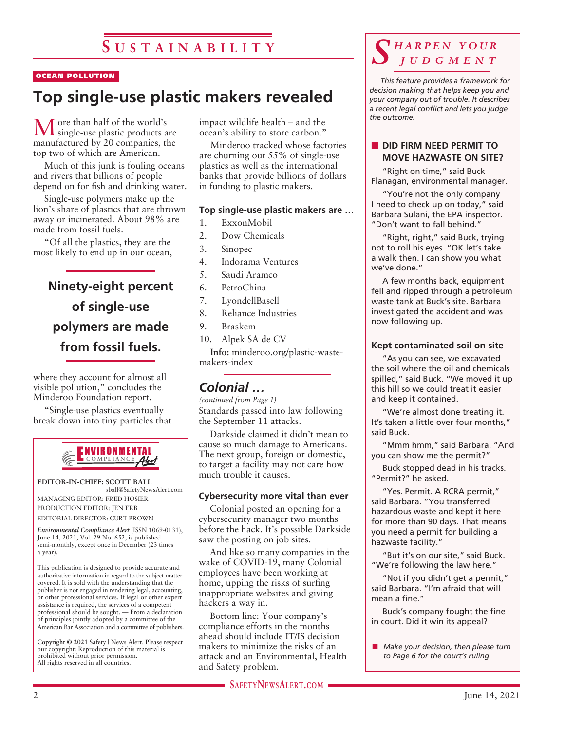### OCEAN POLLUTION

# **Top single-use plastic makers revealed**

More than half of the world's single-use plastic products are manufactured by 20 companies, the top two of which are American.

Much of this junk is fouling oceans and rivers that billions of people depend on for fish and drinking water.

Single-use polymers make up the lion's share of plastics that are thrown away or incinerated. About 98% are made from fossil fuels.

"Of all the plastics, they are the most likely to end up in our ocean,

# **Ninety-eight percent of single-use polymers are made from fossil fuels.**

where they account for almost all visible pollution," concludes the Minderoo Foundation report.

"Single-use plastics eventually break down into tiny particles that



### **EDITOR-IN-CHIEF: SCOTT BALL**

sball@SafetyNewsAlert.com MANAGING EDITOR: FRED HOSIER PRODUCTION EDITOR: JEN ERB

EDITORIAL DIRECTOR: CURT BROWN

*Environmental Compliance Alert* (ISSN 1069-0131), June 14, 2021, Vol. 29 No. 652, is published semi-monthly, except once in December (23 times a year).

This publication is designed to provide accurate and authoritative information in regard to the subject matter covered. It is sold with the understanding that the publisher is not engaged in rendering legal, accounting, or other professional services. If legal or other expert assistance is required, the services of a competent professional should be sought. — From a declaration of principles jointly adopted by a committee of the American Bar Association and a committee of publishers.

**Copyright © 2021** Safety | News Alert. Please respect our copyright: Reproduction of this material is prohibited without prior permission. All rights reserved in all countries.

impact wildlife health – and the ocean's ability to store carbon."

Minderoo tracked whose factories are churning out 55% of single-use plastics as well as the international banks that provide billions of dollars in funding to plastic makers.

### **Top single-use plastic makers are …**

- 1. ExxonMobil
- 2. Dow Chemicals
- 3. Sinopec
- 4. Indorama Ventures
- 5. Saudi Aramco
- 6. PetroChina
- 7. LyondellBasell
- 8. Reliance Industries
- 9. Braskem
- 10. Alpek SA de CV

**Info:** minderoo.org/plastic-wastemakers-index

### *Colonial …*

Standards passed into law following the September 11 attacks. *(continued from Page 1)*

Darkside claimed it didn't mean to cause so much damage to Americans. The next group, foreign or domestic, to target a facility may not care how much trouble it causes.

#### **Cybersecurity more vital than ever**

Colonial posted an opening for a cybersecurity manager two months before the hack. It's possible Darkside saw the posting on job sites.

And like so many companies in the wake of COVID-19, many Colonial employees have been working at home, upping the risks of surfing inappropriate websites and giving hackers a way in.

Bottom line: Your company's compliance efforts in the months ahead should include IT/IS decision makers to minimize the risks of an attack and an Environmental, Health and Safety problem.

**SAFETYNEWSALERT.COM** 

### *S h a r p e n y o u r j u d g m e n t*

*This feature provides a framework for decision making that helps keep you and your company out of trouble. It describes a recent legal conflict and lets you judge the outcome.*

### **NO DID FIRM NEED PERMIT TO MOVE HAZWASTE ON SITE?**

"Right on time," said Buck Flanagan, environmental manager.

"You're not the only company I need to check up on today," said Barbara Sulani, the EPA inspector. "Don't want to fall behind."

"Right, right," said Buck, trying not to roll his eyes. "OK let's take a walk then. I can show you what we've done."

A few months back, equipment fell and ripped through a petroleum waste tank at Buck's site. Barbara investigated the accident and was now following up.

### **Kept contaminated soil on site**

"As you can see, we excavated the soil where the oil and chemicals spilled," said Buck. "We moved it up this hill so we could treat it easier and keep it contained.

"We're almost done treating it. It's taken a little over four months," said Buck.

"Mmm hmm," said Barbara. "And you can show me the permit?"

Buck stopped dead in his tracks. "Permit?" he asked.

"Yes. Permit. A RCRA permit," said Barbara. "You transferred hazardous waste and kept it here for more than 90 days. That means you need a permit for building a hazwaste facility."

"But it's on our site," said Buck. "We're following the law here."

"Not if you didn't get a permit," said Barbara. "I'm afraid that will mean a fine."

Buck's company fought the fine in court. Did it win its appeal?

**n** *Make your decision, then please turn to Page 6 for the court's ruling.*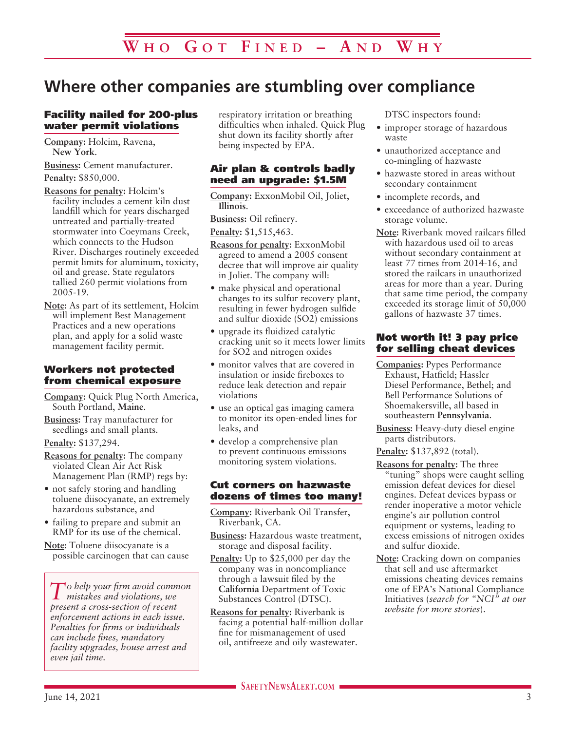# **Where other companies are stumbling over compliance**

### Facility nailed for 200-plus water permit violations

**Company:** Holcim, Ravena, **New York**.

**Business:** Cement manufacturer. **Penalty:** \$850,000.

**Reasons for penalty:** Holcim's facility includes a cement kiln dust landfill which for years discharged untreated and partially-treated stormwater into Coeymans Creek, which connects to the Hudson River. Discharges routinely exceeded permit limits for aluminum, toxicity, oil and grease. State regulators tallied 260 permit violations from 2005-19.

**Note:** As part of its settlement, Holcim will implement Best Management Practices and a new operations plan, and apply for a solid waste management facility permit.

### Workers not protected from chemical exposure

**Company:** Quick Plug North America, South Portland, **Maine**.

**Business:** Tray manufacturer for seedlings and small plants.

**Penalty:** \$137,294.

**Reasons for penalty:** The company violated Clean Air Act Risk Management Plan (RMP) regs by:

- not safely storing and handling toluene diisocyanate, an extremely hazardous substance, and
- failing to prepare and submit an RMP for its use of the chemical.
- **Note:** Toluene diisocyanate is a possible carcinogen that can cause

*To help your firm avoid common mistakes and violations, we present a cross-section of recent enforcement actions in each issue. Penalties for firms or individuals can include fines, mandatory facility upgrades, house arrest and even jail time.*

respiratory irritation or breathing difficulties when inhaled. Quick Plug shut down its facility shortly after being inspected by EPA.

### Air plan & controls badly need an upgrade: \$1.5M

**Company:** ExxonMobil Oil, Joliet, **Illinois**.

**Business:** Oil refinery. **Penalty:** \$1,515,463.

- **Reasons for penalty:** ExxonMobil agreed to amend a 2005 consent decree that will improve air quality in Joliet. The company will:
- make physical and operational changes to its sulfur recovery plant, resulting in fewer hydrogen sulfide and sulfur dioxide (SO2) emissions
- upgrade its fluidized catalytic cracking unit so it meets lower limits for SO2 and nitrogen oxides
- monitor valves that are covered in insulation or inside fireboxes to reduce leak detection and repair violations
- use an optical gas imaging camera to monitor its open-ended lines for leaks, and
- develop a comprehensive plan to prevent continuous emissions monitoring system violations.

### Cut corners on hazwaste dozens of times too many!

**Company:** Riverbank Oil Transfer, Riverbank, CA.

- **Business:** Hazardous waste treatment, storage and disposal facility.
- **Penalty:** Up to \$25,000 per day the company was in noncompliance through a lawsuit filed by the **California** Department of Toxic Substances Control (DTSC).
- **Reasons for penalty:** Riverbank is facing a potential half-million dollar fine for mismanagement of used oil, antifreeze and oily wastewater.

DTSC inspectors found:

- improper storage of hazardous waste
- unauthorized acceptance and co-mingling of hazwaste
- hazwaste stored in areas without secondary containment
- incomplete records, and
- exceedance of authorized hazwaste storage volume.
- **Note:** Riverbank moved railcars filled with hazardous used oil to areas without secondary containment at least 77 times from 2014-16, and stored the railcars in unauthorized areas for more than a year. During that same time period, the company exceeded its storage limit of 50,000 gallons of hazwaste 37 times.

### Not worth it! 3 pay price for selling cheat devices

- **Companies:** Pypes Performance Exhaust, Hatfield; Hassler Diesel Performance, Bethel; and Bell Performance Solutions of Shoemakersville, all based in southeastern **Pennsylvania**.
- **Business:** Heavy-duty diesel engine parts distributors.
- **Penalty:** \$137,892 (total).
- **Reasons for penalty:** The three "tuning" shops were caught selling emission defeat devices for diesel engines. Defeat devices bypass or render inoperative a motor vehicle engine's air pollution control equipment or systems, leading to excess emissions of nitrogen oxides and sulfur dioxide.
- **Note:** Cracking down on companies that sell and use aftermarket emissions cheating devices remains one of EPA's National Compliance Initiatives (*search for "NCI" at our website for more stories*).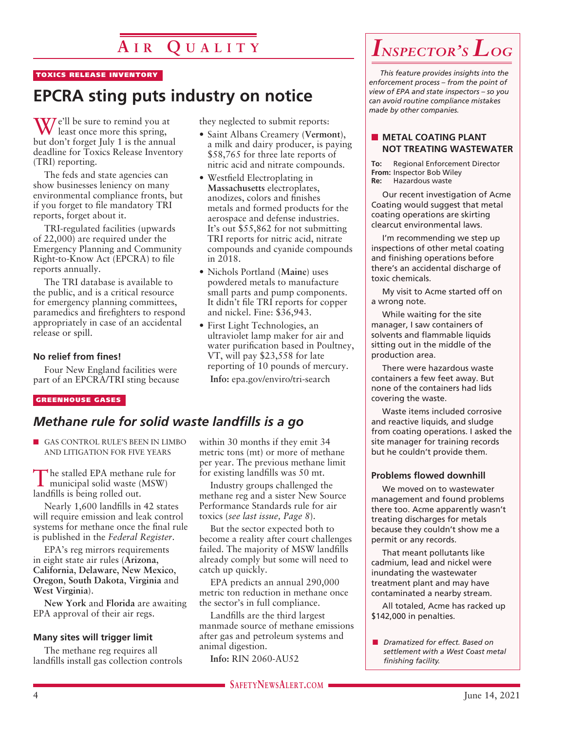# **A i r Q u a l i t y**

### TOXICS RELEASE INVENTORY

# **EPCRA sting puts industry on notice**

We'll be sure to remind you at least once more this spring, but don't forget July 1 is the annual deadline for Toxics Release Inventory (TRI) reporting.

The feds and state agencies can show businesses leniency on many environmental compliance fronts, but if you forget to file mandatory TRI reports, forget about it.

TRI-regulated facilities (upwards of 22,000) are required under the Emergency Planning and Community Right-to-Know Act (EPCRA) to file reports annually.

The TRI database is available to the public, and is a critical resource for emergency planning committees, paramedics and firefighters to respond appropriately in case of an accidental release or spill.

### **No relief from fines!**

Four New England facilities were part of an EPCRA/TRI sting because

#### GREENHOUSE GASES

### *Methane rule for solid waste landfills is a go*

**n** GAS CONTROL RULE'S BEEN IN LIMBO AND LITIGATION FOR FIVE YEARS

The stalled EPA methane rule for municipal solid waste (MSW) landfills is being rolled out.

Nearly 1,600 landfills in 42 states will require emission and leak control systems for methane once the final rule is published in the *Federal Register*.

EPA's reg mirrors requirements in eight state air rules (**Arizona**, **California**, **Delaware**, **New Mexico**, **Oregon**, **South Dakota**, **Virginia** and **West Virginia**).

**New York** and **Florida** are awaiting EPA approval of their air regs.

### **Many sites will trigger limit**

The methane reg requires all landfills install gas collection controls they neglected to submit reports:

- Saint Albans Creamery (**Vermont**), a milk and dairy producer, is paying \$58,765 for three late reports of nitric acid and nitrate compounds.
- Westfield Electroplating in **Massachusetts** electroplates, anodizes, colors and finishes metals and formed products for the aerospace and defense industries. It's out \$55,862 for not submitting TRI reports for nitric acid, nitrate compounds and cyanide compounds in 2018.
- Nichols Portland (**Maine**) uses powdered metals to manufacture small parts and pump components. It didn't file TRI reports for copper and nickel. Fine: \$36,943.
- First Light Technologies, an ultraviolet lamp maker for air and water purification based in Poultney, VT, will pay \$23,558 for late reporting of 10 pounds of mercury.

**Info:** epa.gov/enviro/tri-search

### within 30 months if they emit 34 metric tons (mt) or more of methane per year. The previous methane limit for existing landfills was 50 mt.

Industry groups challenged the methane reg and a sister New Source Performance Standards rule for air toxics (*see last issue, Page 8*).

But the sector expected both to become a reality after court challenges failed. The majority of MSW landfills already comply but some will need to catch up quickly.

EPA predicts an annual 290,000 metric ton reduction in methane once the sector's in full compliance.

Landfills are the third largest manmade source of methane emissions after gas and petroleum systems and animal digestion.

**Info:** RIN 2060-AU52

# *Inspector's Log*

*This feature provides insights into the enforcement process – from the point of view of EPA and state inspectors – so you can avoid routine compliance mistakes made by other companies.*

### **NETAL COATING PLANT NOT TREATING WASTEWATER**

**To:** Regional Enforcement Director **From:** Inspector Bob Wiley<br>**Re:** Hazardous waste **Re:** Hazardous waste

Our recent investigation of Acme Coating would suggest that metal coating operations are skirting clearcut environmental laws.

I'm recommending we step up inspections of other metal coating and finishing operations before there's an accidental discharge of toxic chemicals.

My visit to Acme started off on a wrong note.

While waiting for the site manager, I saw containers of solvents and flammable liquids sitting out in the middle of the production area.

There were hazardous waste containers a few feet away. But none of the containers had lids covering the waste.

Waste items included corrosive and reactive liquids, and sludge from coating operations. I asked the site manager for training records but he couldn't provide them.

### **Problems flowed downhill**

We moved on to wastewater management and found problems there too. Acme apparently wasn't treating discharges for metals because they couldn't show me a permit or any records.

That meant pollutants like cadmium, lead and nickel were inundating the wastewater treatment plant and may have contaminated a nearby stream.

All totaled, Acme has racked up \$142,000 in penalties.

n *Dramatized for effect. Based on settlement with a West Coast metal finishing facility.*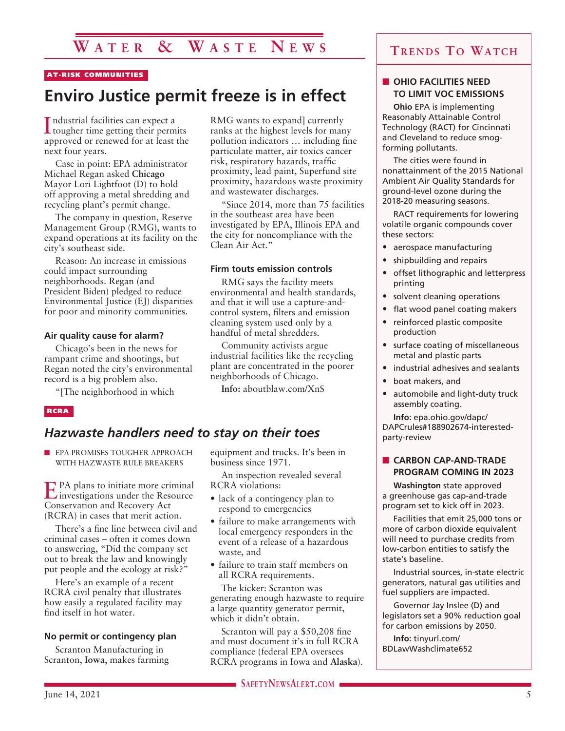## **W a t e r & W a s t e N e w s**

### AT-RISK COMMUNITIES

## **Enviro Justice permit freeze is in effect**

I tougher time getting their permits ndustrial facilities can expect a approved or renewed for at least the next four years.

Case in point: EPA administrator Michael Regan asked **Chicago** Mayor Lori Lightfoot (D) to hold off approving a metal shredding and recycling plant's permit change.

The company in question, Reserve Management Group (RMG), wants to expand operations at its facility on the city's southeast side.

Reason: An increase in emissions could impact surrounding neighborhoods. Regan (and President Biden) pledged to reduce Environmental Justice (EJ) disparities for poor and minority communities.

#### **Air quality cause for alarm?**

Chicago's been in the news for rampant crime and shootings, but Regan noted the city's environmental record is a big problem also.

"[The neighborhood in which

#### RCRA

### *Hazwaste handlers need to stay on their toes*

**n** EPA PROMISES TOUGHER APPROACH WITH HAZWASTE RULE BREAKERS

EPA plans to initiate more criminal investigations under the Resource Conservation and Recovery Act (RCRA) in cases that merit action.

There's a fine line between civil and criminal cases – often it comes down to answering, "Did the company set out to break the law and knowingly put people and the ecology at risk?"

Here's an example of a recent RCRA civil penalty that illustrates how easily a regulated facility may find itself in hot water.

#### **No permit or contingency plan**

Scranton Manufacturing in Scranton, **Iowa**, makes farming RMG wants to expand] currently ranks at the highest levels for many pollution indicators … including fine particulate matter, air toxics cancer risk, respiratory hazards, traffic proximity, lead paint, Superfund site proximity, hazardous waste proximity and wastewater discharges.

"Since 2014, more than 75 facilities in the southeast area have been investigated by EPA, Illinois EPA and the city for noncompliance with the Clean Air Act."

#### **Firm touts emission controls**

RMG says the facility meets environmental and health standards, and that it will use a capture-andcontrol system, filters and emission cleaning system used only by a handful of metal shredders.

Community activists argue industrial facilities like the recycling plant are concentrated in the poorer neighborhoods of Chicago.

**Info:** aboutblaw.com/XnS

equipment and trucks. It's been in business since 1971.

An inspection revealed several RCRA violations:

- lack of a contingency plan to respond to emergencies
- failure to make arrangements with local emergency responders in the event of a release of a hazardous waste, and
- failure to train staff members on all RCRA requirements.

The kicker: Scranton was generating enough hazwaste to require a large quantity generator permit, which it didn't obtain.

Scranton will pay a \$50,208 fine and must document it's in full RCRA compliance (federal EPA oversees RCRA programs in Iowa and **Alaska**).

### **Trends To Watch**

### **N** OHIO FACILITIES NEED **TO LIMIT VOC EMISSIONS**

**Ohio** EPA is implementing Reasonably Attainable Control Technology (RACT) for Cincinnati and Cleveland to reduce smogforming pollutants.

The cities were found in nonattainment of the 2015 National Ambient Air Quality Standards for ground-level ozone during the 2018-20 measuring seasons.

RACT requirements for lowering volatile organic compounds cover these sectors:

- aerospace manufacturing
- shipbuilding and repairs
- offset lithographic and letterpress printing
- solvent cleaning operations
- flat wood panel coating makers
- reinforced plastic composite production
- surface coating of miscellaneous metal and plastic parts
- industrial adhesives and sealants
- boat makers, and
- automobile and light-duty truck assembly coating.

**Info:** epa.ohio.gov/dapc/ DAPCrules#188902674-interestedparty-review

### **n** CARBON CAP-AND-TRADE **PROGRAM COMING IN 2023**

**Washington** state approved a greenhouse gas cap-and-trade program set to kick off in 2023.

Facilities that emit 25,000 tons or more of carbon dioxide equivalent will need to purchase credits from low-carbon entities to satisfy the state's baseline.

Industrial sources, in-state electric generators, natural gas utilities and fuel suppliers are impacted.

Governor Jay Inslee (D) and legislators set a 90% reduction goal for carbon emissions by 2050.

**Info:** tinyurl.com/ BDLawWashclimate652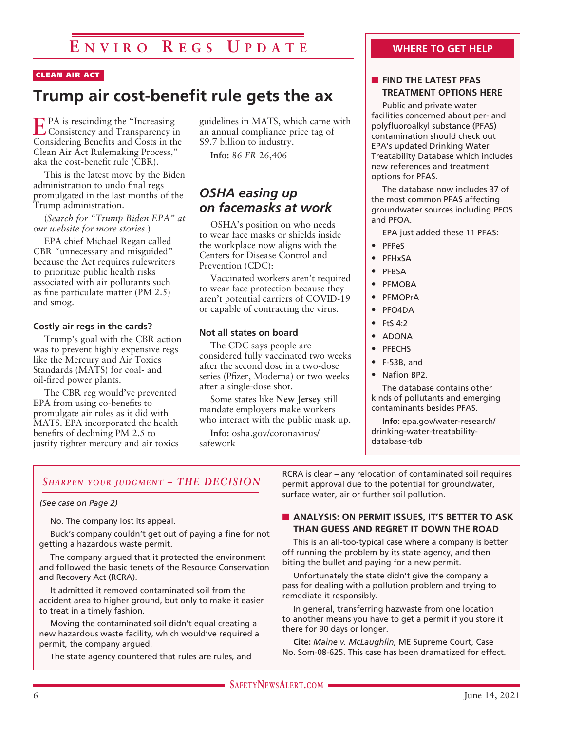## **E n v i r o R e gs U p d a t e**

### CLEAN AIR ACT

# **Trump air cost-benefit rule gets the ax**

EPA is rescinding the "Increasing Consistency and Transparency in Considering Benefits and Costs in the Clean Air Act Rulemaking Process," aka the cost-benefit rule (CBR).

This is the latest move by the Biden administration to undo final regs promulgated in the last months of the Trump administration.

(*Search for "Trump Biden EPA" at our website for more stories.*)

EPA chief Michael Regan called CBR "unnecessary and misguided" because the Act requires rulewriters to prioritize public health risks associated with air pollutants such as fine particulate matter (PM 2.5) and smog.

### **Costly air regs in the cards?**

Trump's goal with the CBR action was to prevent highly expensive regs like the Mercury and Air Toxics Standards (MATS) for coal- and oil-fired power plants.

The CBR reg would've prevented EPA from using co-benefits to promulgate air rules as it did with MATS. EPA incorporated the health benefits of declining PM 2.5 to justify tighter mercury and air toxics guidelines in MATS, which came with an annual compliance price tag of \$9.7 billion to industry.

**Info:** 86 *FR* 26,406

### *OSHA easing up on facemasks at work*

OSHA's position on who needs to wear face masks or shields inside the workplace now aligns with the Centers for Disease Control and Prevention (CDC):

Vaccinated workers aren't required to wear face protection because they aren't potential carriers of COVID-19 or capable of contracting the virus.

### **Not all states on board**

The CDC says people are considered fully vaccinated two weeks after the second dose in a two-dose series (Pfizer, Moderna) or two weeks after a single-dose shot.

Some states like **New Jersey** still mandate employers make workers who interact with the public mask up.

**Info:** osha.gov/coronavirus/ safework

### **WHERE TO GET HELP**

### **N** FIND THE LATEST PFAS **TREATMENT OPTIONS HERE**

Public and private water facilities concerned about per- and polyfluoroalkyl substance (PFAS) contamination should check out EPA's updated Drinking Water Treatability Database which includes new references and treatment options for PFAS.

The database now includes 37 of the most common PFAS affecting groundwater sources including PFOS and PFOA.

EPA just added these 11 PFAS:

- PFPeS
- PFHxSA
- PFBSA
- PFMOBA
- PFMOPrA
- PFO4DA
- $\bullet$  Fts 4.2
- ADONA
- PFECHS
- F-53B, and
- Nafion BP2.

The database contains other kinds of pollutants and emerging contaminants besides PFAS.

**Info:** epa.gov/water-research/ drinking-water-treatabilitydatabase-tdb

### *Sharpen your judgment – THE DECISION*

#### *(See case on Page 2)*

No. The company lost its appeal.

Buck's company couldn't get out of paying a fine for not getting a hazardous waste permit.

The company argued that it protected the environment and followed the basic tenets of the Resource Conservation and Recovery Act (RCRA).

It admitted it removed contaminated soil from the accident area to higher ground, but only to make it easier to treat in a timely fashion.

Moving the contaminated soil didn't equal creating a new hazardous waste facility, which would've required a permit, the company argued.

The state agency countered that rules are rules, and

RCRA is clear – any relocation of contaminated soil requires permit approval due to the potential for groundwater, surface water, air or further soil pollution.

### **N** ANALYSIS: ON PERMIT ISSUES, IT'S BETTER TO ASK **THAN GUESS AND REGRET IT DOWN THE ROAD**

This is an all-too-typical case where a company is better off running the problem by its state agency, and then biting the bullet and paying for a new permit.

Unfortunately the state didn't give the company a pass for dealing with a pollution problem and trying to remediate it responsibly.

In general, transferring hazwaste from one location to another means you have to get a permit if you store it there for 90 days or longer.

**Cite:** *Maine v. McLaughlin*, ME Supreme Court, Case No. Som-08-625. This case has been dramatized for effect.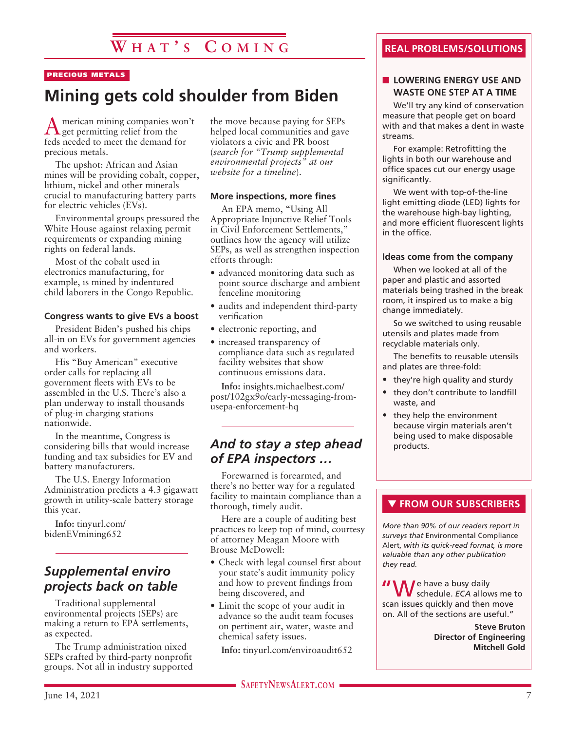# **W h a t ' s C o m i ng**

### PRECIOUS METALS

# **Mining gets cold shoulder from Biden**

American mining companies won't get permitting relief from the feds needed to meet the demand for precious metals.

The upshot: African and Asian mines will be providing cobalt, copper, lithium, nickel and other minerals crucial to manufacturing battery parts for electric vehicles (EVs).

Environmental groups pressured the White House against relaxing permit requirements or expanding mining rights on federal lands.

Most of the cobalt used in electronics manufacturing, for example, is mined by indentured child laborers in the Congo Republic.

### **Congress wants to give EVs a boost**

President Biden's pushed his chips all-in on EVs for government agencies and workers.

His "Buy American" executive order calls for replacing all government fleets with EVs to be assembled in the U.S. There's also a plan underway to install thousands of plug-in charging stations nationwide.

In the meantime, Congress is considering bills that would increase funding and tax subsidies for EV and battery manufacturers.

The U.S. Energy Information Administration predicts a 4.3 gigawatt growth in utility-scale battery storage this year.

**Info:** tinyurl.com/ bidenEVmining652

### *Supplemental enviro projects back on table*

Traditional supplemental environmental projects (SEPs) are making a return to EPA settlements, as expected.

The Trump administration nixed SEPs crafted by third-party nonprofit groups. Not all in industry supported the move because paying for SEPs helped local communities and gave violators a civic and PR boost (*search for "Trump supplemental environmental projects" at our website for a timeline*).

#### **More inspections, more fines**

An EPA memo, "Using All Appropriate Injunctive Relief Tools in Civil Enforcement Settlements," outlines how the agency will utilize SEPs, as well as strengthen inspection efforts through:

- advanced monitoring data such as point source discharge and ambient fenceline monitoring
- audits and independent third-party verification
- electronic reporting, and
- increased transparency of compliance data such as regulated facility websites that show continuous emissions data.

**Info:** insights.michaelbest.com/ post/102gx9o/early-messaging-fromusepa-enforcement-hq

### *And to stay a step ahead of EPA inspectors …*

Forewarned is forearmed, and there's no better way for a regulated facility to maintain compliance than a thorough, timely audit.

Here are a couple of auditing best practices to keep top of mind, courtesy of attorney Meagan Moore with Brouse McDowell:

- Check with legal counsel first about your state's audit immunity policy and how to prevent findings from being discovered, and
- Limit the scope of your audit in advance so the audit team focuses on pertinent air, water, waste and chemical safety issues.

**Info:** tinyurl.com/enviroaudit652

### **REAL PROBLEMS/SOLUTIONS**

### **N** LOWERING ENERGY USE AND **WASTE ONE STEP AT A TIME**

We'll try any kind of conservation measure that people get on board with and that makes a dent in waste streams.

For example: Retrofitting the lights in both our warehouse and office spaces cut our energy usage significantly.

We went with top-of-the-line light emitting diode (LED) lights for the warehouse high-bay lighting, and more efficient fluorescent lights in the office.

### **Ideas come from the company**

When we looked at all of the paper and plastic and assorted materials being trashed in the break room, it inspired us to make a big change immediately.

So we switched to using reusable utensils and plates made from recyclable materials only.

The benefits to reusable utensils and plates are three-fold:

- they're high quality and sturdy
- they don't contribute to landfill waste, and
- they help the environment because virgin materials aren't being used to make disposable products.

### **THE FROM OUR SUBSCRIBERS**

*More than 90% of our readers report in surveys that* Environmental Compliance Alert, *with its quick-read format, is more valuable than any other publication they read.*

**II** We have a busy daily schedule. *ECA* allows me to scan issues quickly and then move on. All of the sections are useful."

> **Steve Bruton Director of Engineering Mitchell Gold**